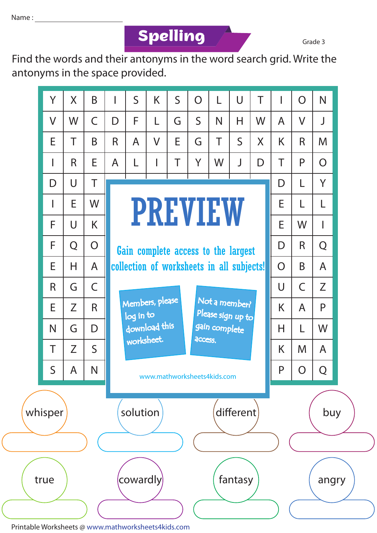**Spelling Grade 3** 

Find the words and their antonyms in the word search grid. Write the antonyms in the space provided.



Printable Worksheets @ www.mathworksheets4kids.com